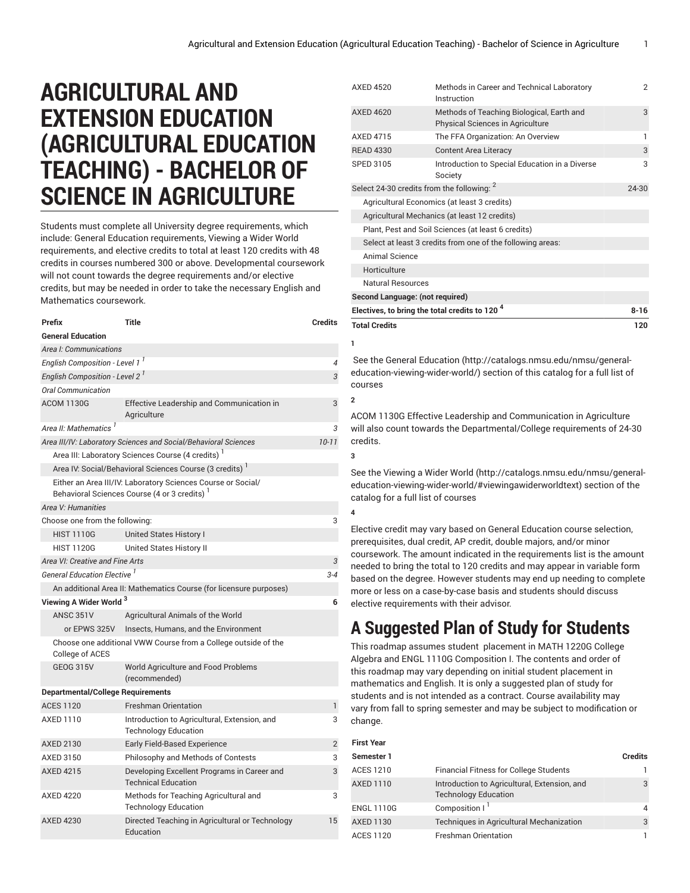## **AGRICULTURAL AND EXTENSION EDUCATION (AGRICULTURAL EDUCATION TEACHING) - BACHELOR OF SCIENCE IN AGRICULTURE**

Students must complete all University degree requirements, which include: General Education requirements, Viewing a Wider World requirements, and elective credits to total at least 120 credits with 48 credits in courses numbered 300 or above. Developmental coursework will not count towards the degree requirements and/or elective credits, but may be needed in order to take the necessary English and Mathematics coursework.

| Prefix                                                                            | Title                                                                                                                    | <b>Credits</b> |
|-----------------------------------------------------------------------------------|--------------------------------------------------------------------------------------------------------------------------|----------------|
| <b>General Education</b>                                                          |                                                                                                                          |                |
| Area I: Communications                                                            |                                                                                                                          |                |
| English Composition - Level 1 <sup>1</sup>                                        |                                                                                                                          | 4              |
| English Composition - Level 2 <sup>1</sup>                                        |                                                                                                                          |                |
| Oral Communication                                                                |                                                                                                                          |                |
| <b>ACOM 1130G</b>                                                                 | Effective Leadership and Communication in<br>Agriculture                                                                 | 3              |
| Area II: Mathematics <sup>1</sup>                                                 |                                                                                                                          | 3              |
|                                                                                   | Area III/IV: Laboratory Sciences and Social/Behavioral Sciences                                                          | $10 - 11$      |
|                                                                                   | Area III: Laboratory Sciences Course (4 credits)                                                                         |                |
|                                                                                   | Area IV: Social/Behavioral Sciences Course (3 credits) <sup>1</sup>                                                      |                |
|                                                                                   | Either an Area III/IV: Laboratory Sciences Course or Social/<br>Behavioral Sciences Course (4 or 3 credits) <sup>1</sup> |                |
| Area V: Humanities                                                                |                                                                                                                          |                |
| Choose one from the following:                                                    |                                                                                                                          | 3              |
| <b>HIST 1110G</b>                                                                 | United States History I                                                                                                  |                |
| <b>HIST 1120G</b>                                                                 | United States History II                                                                                                 |                |
| Area VI: Creative and Fine Arts                                                   |                                                                                                                          | 3              |
| General Education Elective <sup>1</sup>                                           |                                                                                                                          | $3 - 4$        |
|                                                                                   | An additional Area II: Mathematics Course (for licensure purposes)                                                       |                |
| Viewing A Wider World <sup>3</sup>                                                |                                                                                                                          | 6              |
| <b>ANSC 351V</b>                                                                  | Agricultural Animals of the World                                                                                        |                |
| or EPWS 325V                                                                      | Insects, Humans, and the Environment                                                                                     |                |
| Choose one additional VWW Course from a College outside of the<br>College of ACES |                                                                                                                          |                |
| <b>GEOG 315V</b>                                                                  | World Agriculture and Food Problems<br>(recommended)                                                                     |                |
| <b>Departmental/College Requirements</b>                                          |                                                                                                                          |                |
| <b>ACES 1120</b>                                                                  | <b>Freshman Orientation</b>                                                                                              | 1              |
| AXED 1110                                                                         | Introduction to Agricultural, Extension, and<br><b>Technology Education</b>                                              | 3              |
| <b>AXED 2130</b>                                                                  | <b>Early Field-Based Experience</b>                                                                                      | 2              |
| AXED 3150                                                                         | Philosophy and Methods of Contests                                                                                       | 3              |
| <b>AXED 4215</b>                                                                  | Developing Excellent Programs in Career and<br><b>Technical Education</b>                                                | 3              |
| <b>AXED 4220</b>                                                                  | Methods for Teaching Agricultural and<br><b>Technology Education</b>                                                     | 3              |
| <b>AXED 4230</b>                                                                  | Directed Teaching in Agricultural or Technology<br>Fducation                                                             | 15             |

| <b>AXED 4520</b>                                           | Methods in Career and Technical Laboratory<br>Instruction                     | $\overline{2}$ |
|------------------------------------------------------------|-------------------------------------------------------------------------------|----------------|
| <b>AXED 4620</b>                                           | Methods of Teaching Biological, Earth and<br>Physical Sciences in Agriculture | 3              |
| AXFD 4715                                                  | The FFA Organization: An Overview                                             | 1              |
| <b>READ 4330</b>                                           | <b>Content Area Literacy</b>                                                  | 3              |
| <b>SPED 3105</b>                                           | Introduction to Special Education in a Diverse<br>Society                     | 3              |
| Select 24-30 credits from the following: 2                 |                                                                               | 24-30          |
| Agricultural Economics (at least 3 credits)                |                                                                               |                |
|                                                            | Agricultural Mechanics (at least 12 credits)                                  |                |
|                                                            | Plant, Pest and Soil Sciences (at least 6 credits)                            |                |
| Select at least 3 credits from one of the following areas: |                                                                               |                |
| Animal Science                                             |                                                                               |                |
| Horticulture                                               |                                                                               |                |
| Natural Resources                                          |                                                                               |                |
| Second Language: (not required)                            |                                                                               |                |
| Electives, to bring the total credits to 120 <sup>4</sup>  |                                                                               | $8 - 16$       |
| <b>Total Credits</b>                                       | 120                                                                           |                |

**1**

 See the General [Education](http://catalogs.nmsu.edu/nmsu/general-education-viewing-wider-world/) ([http://catalogs.nmsu.edu/nmsu/general](http://catalogs.nmsu.edu/nmsu/general-education-viewing-wider-world/)[education-viewing-wider-world/\)](http://catalogs.nmsu.edu/nmsu/general-education-viewing-wider-world/) section of this catalog for a full list of courses

## **2**

**3**

**4**

ACOM 1130G Effective Leadership and Communication in Agriculture will also count towards the Departmental/College requirements of 24-30 credits.

See the [Viewing](http://catalogs.nmsu.edu/nmsu/general-education-viewing-wider-world/#viewingawiderworldtext) a Wider World [\(http://catalogs.nmsu.edu/nmsu/general](http://catalogs.nmsu.edu/nmsu/general-education-viewing-wider-world/#viewingawiderworldtext)[education-viewing-wider-world/#viewingawiderworldtext\)](http://catalogs.nmsu.edu/nmsu/general-education-viewing-wider-world/#viewingawiderworldtext) section of the catalog for a full list of courses

Elective credit may vary based on General Education course selection, prerequisites, dual credit, AP credit, double majors, and/or minor coursework. The amount indicated in the requirements list is the amount needed to bring the total to 120 credits and may appear in variable form based on the degree. However students may end up needing to complete more or less on a case-by-case basis and students should discuss elective requirements with their advisor.

## **A Suggested Plan of Study for Students**

This roadmap assumes student placement in MATH 1220G College Algebra and ENGL 1110G Composition I. The contents and order of this roadmap may vary depending on initial student placement in mathematics and English. It is only a suggested plan of study for students and is not intended as a contract. Course availability may vary from fall to spring semester and may be subject to modification or change.

| First Year        |                                                                             |                |  |  |
|-------------------|-----------------------------------------------------------------------------|----------------|--|--|
| Semester 1        |                                                                             | <b>Credits</b> |  |  |
| <b>ACES 1210</b>  | <b>Financial Fitness for College Students</b>                               |                |  |  |
| <b>AXED 1110</b>  | Introduction to Agricultural, Extension, and<br><b>Technology Education</b> | 3              |  |  |
| <b>ENGL 1110G</b> | Composition I <sup>1</sup>                                                  | 4              |  |  |
| <b>AXED 1130</b>  | <b>Techniques in Agricultural Mechanization</b>                             | 3              |  |  |
| <b>ACES 1120</b>  | <b>Freshman Orientation</b>                                                 |                |  |  |